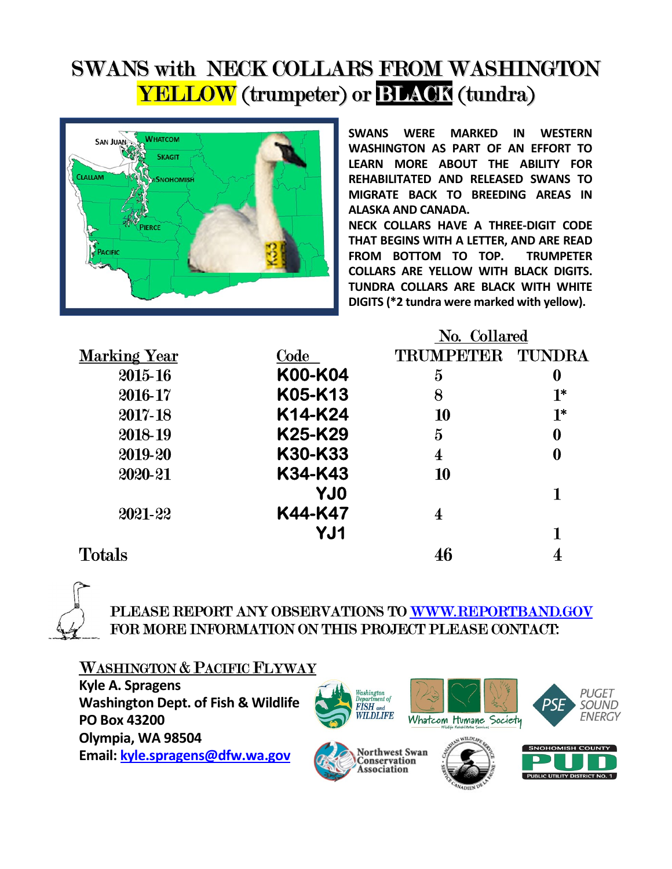# SWANS with NECK COLLARS FROM WASHINGTON **YELLOW** (trumpeter) or **BLACK** (tundra)



SWANS WERE MARKED IN WESTERN WASHINGTON AS PART OF AN EFFORT TO LEARN MORE ABOUT THE ABILITY FOR REHABILITATED AND RELEASED SWANS TO MIGRATE BACK TO BREEDING AREAS IN ALASKA AND CANADA.

NECK COLLARS HAVE A THREE-DIGIT CODE THAT BEGINS WITH A LETTER, AND ARE READ FROM BOTTOM TO TOP. TRUMPETER COLLARS ARE YELLOW WITH BLACK DIGITS. TUNDRA COLLARS ARE BLACK WITH WHITE DIGITS (\*2 tundra were marked with yellow).

|                     |             | No. Collared   |               |  |  |
|---------------------|-------------|----------------|---------------|--|--|
| <b>Marking Year</b> | <b>Code</b> | TRUMPETER      | <b>TUNDRA</b> |  |  |
| 2015-16             | K00-K04     | $\bf{5}$       | 0             |  |  |
| 2016-17             | K05-K13     | 8              | $1*$          |  |  |
| 2017-18             | K14-K24     | 10             | $1^*$         |  |  |
| 2018-19             | K25-K29     | $\overline{5}$ | 0             |  |  |
| 2019-20             | K30-K33     | 4              | 0             |  |  |
| 2020-21             | K34-K43     | 10             |               |  |  |
|                     | <b>YJ0</b>  |                |               |  |  |
| 2021-22             | K44-K47     | 4              |               |  |  |
|                     | YJ1         |                |               |  |  |
| <b>Totals</b>       |             |                |               |  |  |



# PLEASE REPORT ANY OBSERVATIONS TO WWW.REPORTBAND.GOV FOR MORE INFORMATION ON THIS PROJECT PLEASE CONTACT:

## WASHINGTON & PACIFIC FLYWAY

Kyle A. Spragens Washington Dept. of Fish & Wildlife PO Box 43200 Olympia, WA 98504 Email: kyle.spragens@dfw.wa.gov



Conservation Association